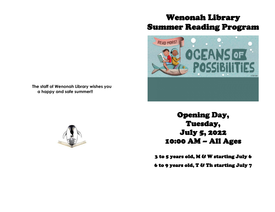## Wenonah Library Summer Reading Program



**The staff of Wenonah Library wishes you a happy and safe summer!!**



Opening Day, Tuesday, July 5, 2022 10:00 AM – All Ages

3 to 5 years old, M & W starting July 6

6 to 9 years old, T & Th starting July 7